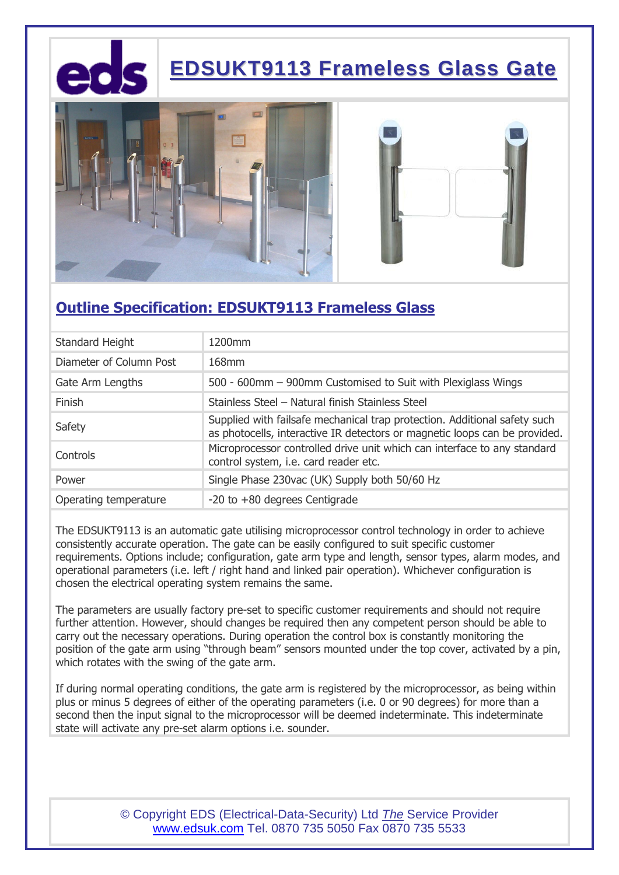

## **EDSUKT9113 Frameless Glass Gate**





### **Outline Specification: EDSUKT9113 Frameless Glass**

| Standard Height         | 1200mm                                                                                                                                                  |
|-------------------------|---------------------------------------------------------------------------------------------------------------------------------------------------------|
| Diameter of Column Post | 168mm                                                                                                                                                   |
| Gate Arm Lengths        | 500 - 600mm - 900mm Customised to Suit with Plexiglass Wings                                                                                            |
| Finish                  | Stainless Steel - Natural finish Stainless Steel                                                                                                        |
| Safety                  | Supplied with failsafe mechanical trap protection. Additional safety such<br>as photocells, interactive IR detectors or magnetic loops can be provided. |
| Controls                | Microprocessor controlled drive unit which can interface to any standard<br>control system, i.e. card reader etc.                                       |
| Power                   | Single Phase 230vac (UK) Supply both 50/60 Hz                                                                                                           |
| Operating temperature   | $-20$ to $+80$ degrees Centigrade                                                                                                                       |

The EDSUKT9113 is an automatic gate utilising microprocessor control technology in order to achieve consistently accurate operation. The gate can be easily configured to suit specific customer requirements. Options include; configuration, gate arm type and length, sensor types, alarm modes, and operational parameters (i.e. left / right hand and linked pair operation). Whichever configuration is chosen the electrical operating system remains the same.

The parameters are usually factory pre-set to specific customer requirements and should not require further attention. However, should changes be required then any competent person should be able to carry out the necessary operations. During operation the control box is constantly monitoring the position of the gate arm using "through beam" sensors mounted under the top cover, activated by a pin, which rotates with the swing of the gate arm.

If during normal operating conditions, the gate arm is registered by the microprocessor, as being within plus or minus 5 degrees of either of the operating parameters (i.e. 0 or 90 degrees) for more than a second then the input signal to the microprocessor will be deemed indeterminate. This indeterminate state will activate any pre-set alarm options i.e. sounder.

> © Copyright EDS (Electrical-Data-Security) Ltd *The* Service Provider www.edsuk.com Tel. 0870 735 5050 Fax 0870 735 5533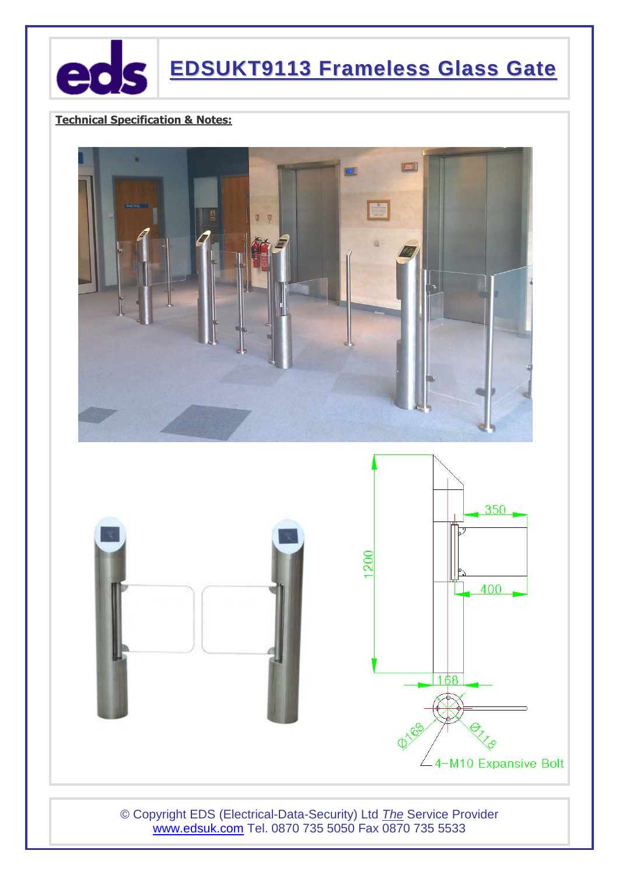

### **Technical Specification & Notes:**



© Copyright EDS (Electrical-Data-Security) Ltd *The* Service Provider www.edsuk.com Tel. 0870 735 5050 Fax 0870 735 5533